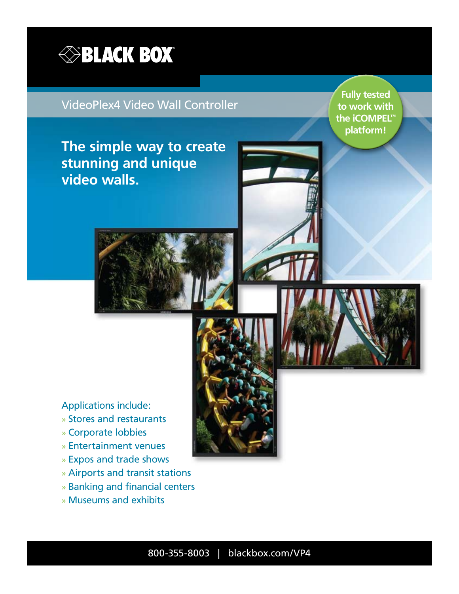

### VideoPlex4 Video Wall Controller

**Fully tested to work with the iCOMPEL™ platform!**

**BLACK** 

**The simple way to create stunning and unique video walls.**

Applications include:

- » Stores and restaurants
- » Corporate lobbies
- » Entertainment venues
- » Expos and trade shows
- » Airports and transit stations
- » Banking and financial centers
- » Museums and exhibits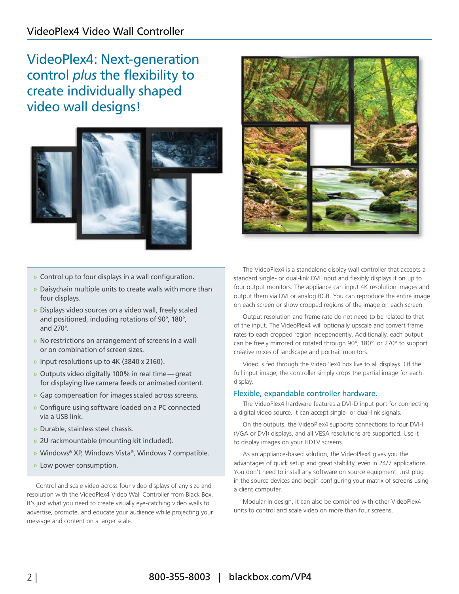VideoPlex4: Next-generation control *plus* the flexibility to create individually shaped video wall designs!



- » Control up to four displays in a wall configuration.
- » Daisychain multiple units to create walls with more than four displays.
- » Displays video sources on a video wall, freely scaled and positioned, including rotations of 90°, 180°, and 270°.
- » No restrictions on arrangement of screens in a wall or on combination of screen sizes.
- » Input resolutions up to 4K (3840 x 2160).
- » Outputs video digitally 100% in real time—great for displaying live camera feeds or animated content.
- » Gap compensation for images scaled across screens.
- » Configure using software loaded on a PC connected via a USB link.
- » Durable, stainless steel chassis.
- » 2U rackmountable (mounting kit included).
- » Windows® XP, Windows Vista®, Windows 7 compatible.
- » Low power consumption.

Control and scale video across four video displays of any size and resolution with the VideoPlex4 Video Wall Controller from Black Box. It's just what you need to create visually eye-catching video walls to advertise, promote, and educate your audience while projecting your message and content on a larger scale.



The VideoPlex4 is a standalone display wall controller that accepts a standard single- or dual-link DVI input and flexibly displays it on up to four output monitors. The appliance can input 4K resolution images and output them via DVI or analog RGB. You can reproduce the entire image on each screen or show cropped regions of the image on each screen.

Output resolution and frame rate do not need to be related to that of the input. The VideoPlex4 will optionally upscale and convert frame rates to each cropped region independently. Additionally, each output can be freely mirrored or rotated through 90°, 180°, or 270° to support creative mixes of landscape and portrait monitors.

Video is fed through the VideoPlex4 box live to all displays. Of the full input image, the controller simply crops the partial image for each display.

#### Flexible, expandable controller hardware.

The VideoPlex4 hardware features a DVI-D input port for connecting a digital video source. It can accept single- or dual-link signals.

On the outputs, the VideoPlex4 supports connections to four DVI-I (VGA or DVI) displays, and all VESA resolutions are supported. Use it to display images on your HDTV screens.

As an appliance-based solution, the VideoPlex4 gives you the advantages of quick setup and great stability, even in 24/7 applications. You don't need to install any software on source equipment. Just plug in the source devices and begin configuring your matrix of screens using a client computer.

Modular in design, it can also be combined with other VideoPlex4 units to control and scale video on more than four screens.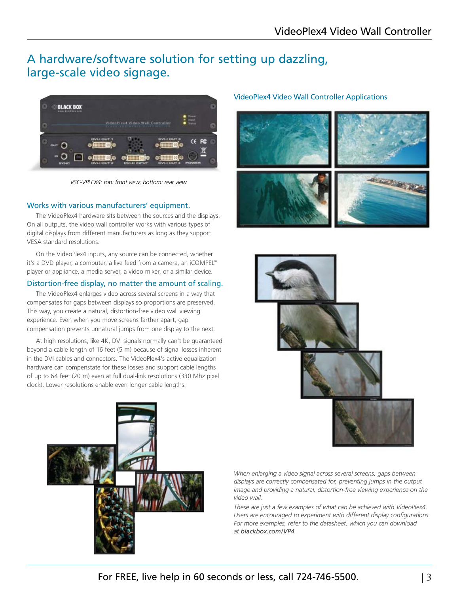## A hardware/software solution for setting up dazzling, large-scale video signage.



*VSC-VPLEX4: top: front view; bottom: rear view*

#### Works with various manufacturers' equipment.

The VideoPlex4 hardware sits between the sources and the displays. On all outputs, the video wall controller works with various types of digital displays from different manufacturers as long as they support VESA standard resolutions.

On the VideoPlex4 inputs, any source can be connected, whether it's a DVD player, a computer, a live feed from a camera, an iCOMPEL™ player or appliance, a media server, a video mixer, or a similar device.

#### Distortion-free display, no matter the amount of scaling.

The VideoPlex4 enlarges video across several screens in a way that compensates for gaps between displays so proportions are preserved. This way, you create a natural, distortion-free video wall viewing experience. Even when you move screens farther apart, gap compensation prevents unnatural jumps from one display to the next.

At high resolutions, like 4K, DVI signals normally can't be guaranteed beyond a cable length of 16 feet (5 m) because of signal losses inherent in the DVI cables and connectors. The VideoPlex4's active equalization hardware can compenstate for these losses and support cable lengths of up to 64 feet (20 m) even at full dual-link resolutions (330 Mhz pixel clock). Lower resolutions enable even longer cable lengths.

#### VideoPlex4 Video Wall Controller Applications







*When enlarging a video signal across several screens, gaps between displays are correctly compensated for, preventing jumps in the output image and providing a natural, distortion-free viewing experience on the video wall.*

*These are just a few examples of what can be achieved with VideoPlex4. Users are encouraged to experiment with different display configurations. For more examples, refer to the datasheet, which you can download at blackbox.com/VP4.*